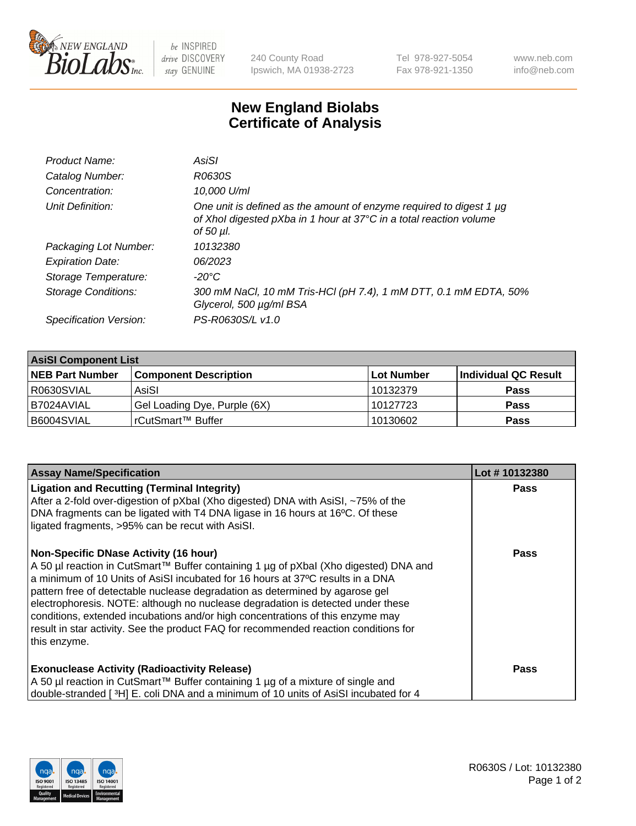

 $be$  INSPIRED drive DISCOVERY stay GENUINE

240 County Road Ipswich, MA 01938-2723 Tel 978-927-5054 Fax 978-921-1350 www.neb.com info@neb.com

## **New England Biolabs Certificate of Analysis**

| Product Name:              | AsiSI                                                                                                                                                  |
|----------------------------|--------------------------------------------------------------------------------------------------------------------------------------------------------|
| Catalog Number:            | R0630S                                                                                                                                                 |
| Concentration:             | 10,000 U/ml                                                                                                                                            |
| Unit Definition:           | One unit is defined as the amount of enzyme required to digest 1 µg<br>of Xhol digested pXba in 1 hour at 37°C in a total reaction volume<br>of 50 µl. |
| Packaging Lot Number:      | 10132380                                                                                                                                               |
| <b>Expiration Date:</b>    | 06/2023                                                                                                                                                |
| Storage Temperature:       | $-20^{\circ}$ C                                                                                                                                        |
| <b>Storage Conditions:</b> | 300 mM NaCl, 10 mM Tris-HCl (pH 7.4), 1 mM DTT, 0.1 mM EDTA, 50%<br>Glycerol, 500 µg/ml BSA                                                            |
| Specification Version:     | PS-R0630S/L v1.0                                                                                                                                       |

| <b>AsiSI Component List</b> |                              |             |                      |  |  |
|-----------------------------|------------------------------|-------------|----------------------|--|--|
| <b>NEB Part Number</b>      | <b>Component Description</b> | ∣Lot Number | Individual QC Result |  |  |
| R0630SVIAL                  | AsiSI                        | 10132379    | <b>Pass</b>          |  |  |
| I B7024AVIAL                | Gel Loading Dye, Purple (6X) | 10127723    | <b>Pass</b>          |  |  |
| B6004SVIAL                  | rCutSmart™ Buffer            | 10130602    | <b>Pass</b>          |  |  |

| <b>Assay Name/Specification</b>                                                                                                                                | Lot #10132380 |
|----------------------------------------------------------------------------------------------------------------------------------------------------------------|---------------|
| <b>Ligation and Recutting (Terminal Integrity)</b><br>After a 2-fold over-digestion of pXbal (Xho digested) DNA with AsiSI, ~75% of the                        | Pass          |
| DNA fragments can be ligated with T4 DNA ligase in 16 hours at 16°C. Of these                                                                                  |               |
| ligated fragments, >95% can be recut with AsiSI.                                                                                                               |               |
| <b>Non-Specific DNase Activity (16 hour)</b>                                                                                                                   | Pass          |
| A 50 µl reaction in CutSmart™ Buffer containing 1 µg of pXbal (Xho digested) DNA and                                                                           |               |
| a minimum of 10 Units of AsiSI incubated for 16 hours at 37°C results in a DNA<br>pattern free of detectable nuclease degradation as determined by agarose gel |               |
| electrophoresis. NOTE: although no nuclease degradation is detected under these                                                                                |               |
| conditions, extended incubations and/or high concentrations of this enzyme may                                                                                 |               |
| result in star activity. See the product FAQ for recommended reaction conditions for<br>this enzyme.                                                           |               |
|                                                                                                                                                                |               |
| <b>Exonuclease Activity (Radioactivity Release)</b>                                                                                                            | <b>Pass</b>   |
| A 50 µl reaction in CutSmart™ Buffer containing 1 µg of a mixture of single and                                                                                |               |
| double-stranded [3H] E. coli DNA and a minimum of 10 units of AsiSI incubated for 4                                                                            |               |